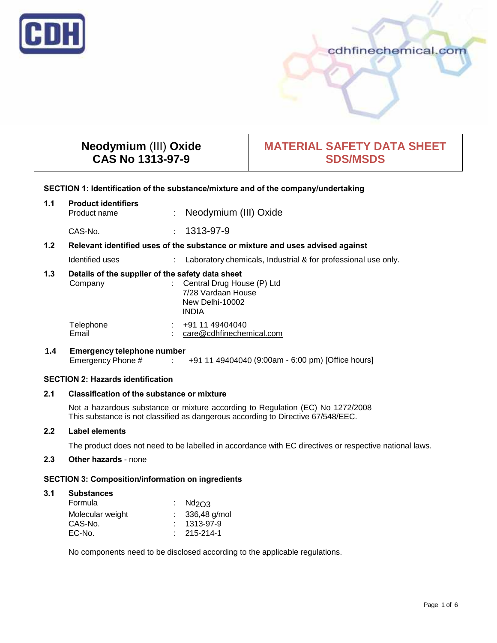

## cdhfinechemical.com

# **Neodymium** (III) **Oxide CAS No 1313-97-9**

## **MATERIAL SAFETY DATA SHEET SDS/MSDS**

#### **SECTION 1: Identification of the substance/mixture and of the company/undertaking**

| 1.1              | <b>Product identifiers</b><br>Product name                                    | ÷ | Neodymium (III) Oxide                                         |  |  |  |
|------------------|-------------------------------------------------------------------------------|---|---------------------------------------------------------------|--|--|--|
|                  | CAS-No.                                                                       |   | $: 1313 - 97 - 9$                                             |  |  |  |
| 1.2 <sub>2</sub> | Relevant identified uses of the substance or mixture and uses advised against |   |                                                               |  |  |  |
|                  | Identified uses                                                               | ÷ | Laboratory chemicals, Industrial & for professional use only. |  |  |  |
| 1.3              | Details of the supplier of the safety data sheet                              |   |                                                               |  |  |  |
|                  | Company                                                                       |   | Central Drug House (P) Ltd                                    |  |  |  |
|                  |                                                                               |   | 7/28 Vardaan House<br>New Delhi-10002                         |  |  |  |
|                  |                                                                               |   | <b>INDIA</b>                                                  |  |  |  |
|                  | Telephone<br>Email                                                            |   | +91 11 49404040<br>care@cdhfinechemical.com                   |  |  |  |

## **1.4 Emergency telephone number** Emergency Phone # : +91 11 49404040 (9:00am - 6:00 pm) [Office hours]

## **SECTION 2: Hazards identification**

## **2.1 Classification of the substance or mixture**

Not a hazardous substance or mixture according to Regulation (EC) No 1272/2008 This substance is not classified as dangerous according to Directive 67/548/EEC.

#### **2.2 Label elements**

The product does not need to be labelled in accordance with EC directives or respective national laws.

## **2.3 Other hazards** - none

## **SECTION 3: Composition/information on ingredients**

## **3.1 Substances**

| Formula          | : $Nd2O3$         |
|------------------|-------------------|
| Molecular weight | $: 336,48$ g/mol  |
| CAS-No.          | $: 1313 - 97 - 9$ |
| EC-No.           | $: 215 - 214 - 1$ |

No components need to be disclosed according to the applicable regulations.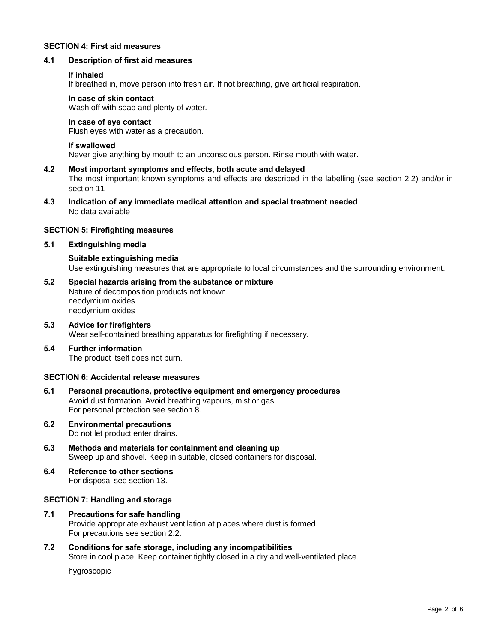## **SECTION 4: First aid measures**

#### **4.1 Description of first aid measures**

#### **If inhaled**

If breathed in, move person into fresh air. If not breathing, give artificial respiration.

## **In case of skin contact**

Wash off with soap and plenty of water.

#### **In case of eye contact**

Flush eyes with water as a precaution.

#### **If swallowed**

Never give anything by mouth to an unconscious person. Rinse mouth with water.

- **4.2 Most important symptoms and effects, both acute and delayed** The most important known symptoms and effects are described in the labelling (see section 2.2) and/or in section 11
- **4.3 Indication of any immediate medical attention and special treatment needed** No data available

#### **SECTION 5: Firefighting measures**

#### **5.1 Extinguishing media**

**Suitable extinguishing media** Use extinguishing measures that are appropriate to local circumstances and the surrounding environment.

- **5.2 Special hazards arising from the substance or mixture** Nature of decomposition products not known. neodymium oxides neodymium oxides
- **5.3 Advice for firefighters** Wear self-contained breathing apparatus for firefighting if necessary.
- **5.4 Further information** The product itself does not burn.

#### **SECTION 6: Accidental release measures**

- **6.1 Personal precautions, protective equipment and emergency procedures** Avoid dust formation. Avoid breathing vapours, mist or gas. For personal protection see section 8.
- **6.2 Environmental precautions** Do not let product enter drains.
- **6.3 Methods and materials for containment and cleaning up** Sweep up and shovel. Keep in suitable, closed containers for disposal.
- **6.4 Reference to other sections** For disposal see section 13.

#### **SECTION 7: Handling and storage**

- **7.1 Precautions for safe handling** Provide appropriate exhaust ventilation at places where dust is formed. For precautions see section 2.2.
- **7.2 Conditions for safe storage, including any incompatibilities** Store in cool place. Keep container tightly closed in a dry and well-ventilated place.

hygroscopic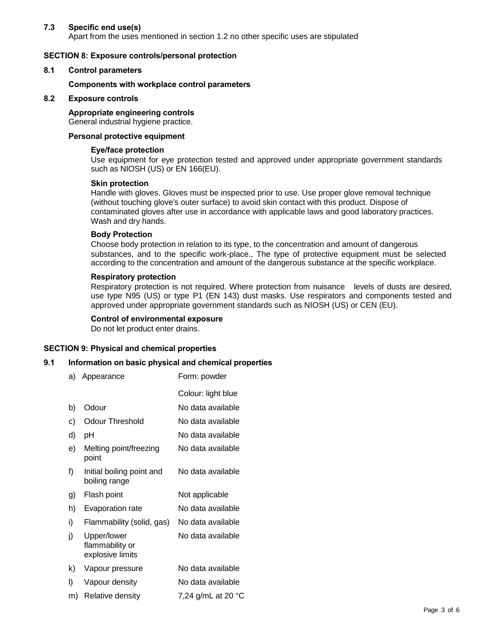## **7.3 Specific end use(s)**

Apart from the uses mentioned in section 1.2 no other specific uses are stipulated

## **SECTION 8: Exposure controls/personal protection**

#### **8.1 Control parameters**

#### **Components with workplace control parameters**

## **8.2 Exposure controls**

#### **Appropriate engineering controls** General industrial hygiene practice.

## **Personal protective equipment**

#### **Eye/face protection**

Use equipment for eye protection tested and approved under appropriate government standards such as NIOSH (US) or EN 166(EU).

#### **Skin protection**

Handle with gloves. Gloves must be inspected prior to use. Use proper glove removal technique (without touching glove's outer surface) to avoid skin contact with this product. Dispose of contaminated gloves after use in accordance with applicable laws and good laboratory practices. Wash and dry hands.

#### **Body Protection**

Choose body protection in relation to its type, to the concentration and amount of dangerous substances, and to the specific work-place., The type of protective equipment must be selected according to the concentration and amount of the dangerous substance at the specific workplace.

## **Respiratory protection**

Respiratory protection is not required. Where protection from nuisance levels of dusts are desired, use type N95 (US) or type P1 (EN 143) dust masks. Use respirators and components tested and approved under appropriate government standards such as NIOSH (US) or CEN (EU).

#### **Control of environmental exposure**

Do not let product enter drains.

## **SECTION 9: Physical and chemical properties**

## **9.1 Information on basic physical and chemical properties**

- a) Appearance Form: powder
- Colour: light blue b) Odour No data available c) Odour Threshold No data available d) pH No data available e) Melting point/freezing No data available point f) Initial boiling point and No data available boiling range g) Flash point Not applicable h) Evaporation rate No data available i) Flammability (solid, gas) No data available j) Upper/lower No data available flammability or explosive limits k) Vapour pressure No data available l) Vapour density No data available m) Relative density  $7,24$  g/mL at 20  $^{\circ}$ C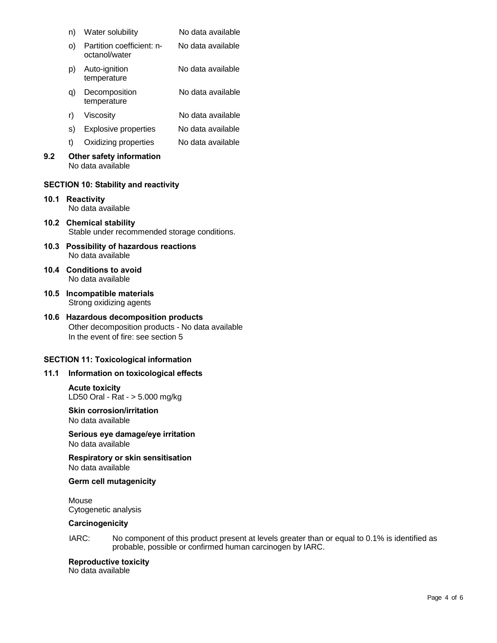|      | n)                                                                        | Water solubility                              | No data available |  |  |  |
|------|---------------------------------------------------------------------------|-----------------------------------------------|-------------------|--|--|--|
|      | O)                                                                        | Partition coefficient: n-<br>octanol/water    | No data available |  |  |  |
|      | p).                                                                       | Auto-ignition<br>temperature                  | No data available |  |  |  |
|      | q)                                                                        | Decomposition<br>temperature                  | No data available |  |  |  |
|      | r)                                                                        | Viscosity                                     | No data available |  |  |  |
|      | s) -                                                                      | Explosive properties                          | No data available |  |  |  |
|      | t)                                                                        | Oxidizing properties                          | No data available |  |  |  |
| 9.2  |                                                                           | Other safety information<br>No data available |                   |  |  |  |
|      |                                                                           | <b>SECTION 10: Stability and reactivity</b>   |                   |  |  |  |
| 10.1 | <b>Reactivity</b><br>No data available                                    |                                               |                   |  |  |  |
| 10.2 | <b>Chemical stability</b><br>Stable under recommended storage conditions. |                                               |                   |  |  |  |
| 10.3 | Possibility of hazardous reactions<br>No data available                   |                                               |                   |  |  |  |

- **10.4 Conditions to avoid** No data available
- **10.5 Incompatible materials** Strong oxidizing agents
- **10.6 Hazardous decomposition products** Other decomposition products - No data available In the event of fire: see section 5

## **SECTION 11: Toxicological information**

#### **11.1 Information on toxicological effects**

**Acute toxicity** LD50 Oral - Rat - > 5.000 mg/kg

**Skin corrosion/irritation** No data available

**Serious eye damage/eye irritation** No data available

**Respiratory or skin sensitisation** No data available

## **Germ cell mutagenicity**

Mouse Cytogenetic analysis

## **Carcinogenicity**

IARC: No component of this product present at levels greater than or equal to 0.1% is identified as probable, possible or confirmed human carcinogen by IARC.

**Reproductive toxicity**

No data available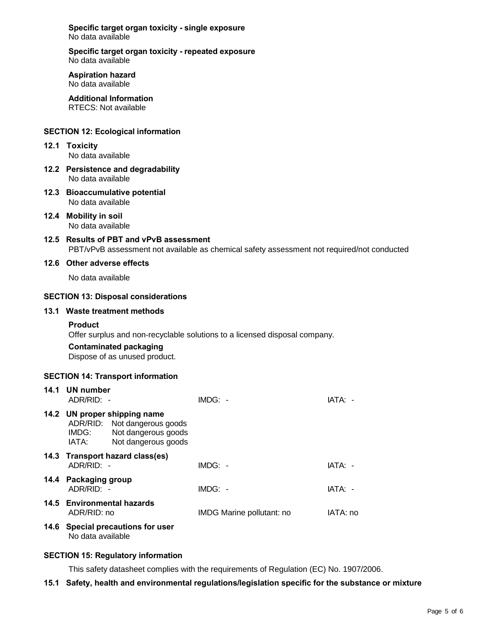**Specific target organ toxicity - single exposure** No data available

**Specific target organ toxicity - repeated exposure** No data available

**Aspiration hazard** No data available

**Additional Information** RTECS: Not available

## **SECTION 12: Ecological information**

- **12.1 Toxicity** No data available
- **12.2 Persistence and degradability** No data available
- **12.3 Bioaccumulative potential** No data available
- **12.4 Mobility in soil** No data available
- **12.5 Results of PBT and vPvB assessment** PBT/vPvB assessment not available as chemical safety assessment not required/not conducted

## **12.6 Other adverse effects**

No data available

## **SECTION 13: Disposal considerations**

#### **13.1 Waste treatment methods**

#### **Product**

Offer surplus and non-recyclable solutions to a licensed disposal company.

## **Contaminated packaging**

Dispose of as unused product.

## **SECTION 14: Transport information**

| 14.1 UN number<br>ADR/RID: -                                                                                                 | $IMDG: -$                 | IATA: -  |
|------------------------------------------------------------------------------------------------------------------------------|---------------------------|----------|
| 14.2 UN proper shipping name<br>ADR/RID: Not dangerous goods<br>Not dangerous goods<br>IMDG:<br>Not dangerous goods<br>IATA: |                           |          |
| 14.3 Transport hazard class(es)<br>ADR/RID: -                                                                                | $IMDG: -$                 | IATA: -  |
| 14.4 Packaging group<br>$ADR/RID: -$                                                                                         | $IMDG: -$                 | IATA: -  |
| 14.5 Environmental hazards<br>ADR/RID: no                                                                                    | IMDG Marine pollutant: no | IATA: no |
| 14.6 Special precautions for user<br>No data available                                                                       |                           |          |

## **SECTION 15: Regulatory information**

This safety datasheet complies with the requirements of Regulation (EC) No. 1907/2006.

## **15.1 Safety, health and environmental regulations/legislation specific for the substance or mixture**